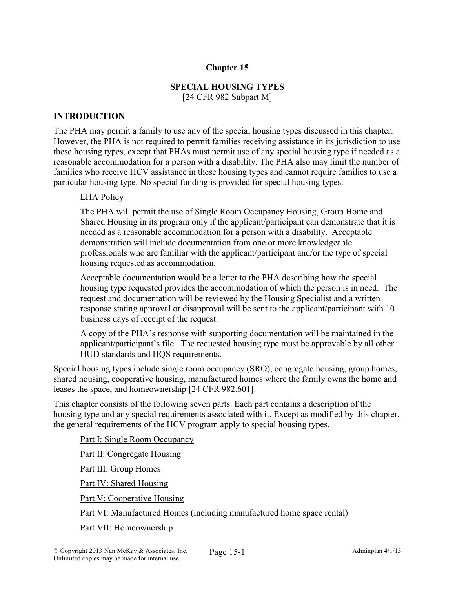### Chapter 15

# SPECIAL HOUSING TYPES

[24 CFR 982 Subpart M]

### INTRODUCTION

The PHA may permit a family to use any of the special housing types discussed in this chapter. However, the PHA is not required to permit families receiving assistance in its jurisdiction to use these housing types, except that PHAs must permit use of any special housing type if needed as a reasonable accommodation for a person with a disability. The PHA also may limit the number of families who receive HCV assistance in these housing types and cannot require families to use a particular housing type. No special funding is provided for special housing types.

### LHA Policy

The PHA will permit the use of Single Room Occupancy Housing, Group Home and Shared Housing in its program only if the applicant/participant can demonstrate that it is needed as a reasonable accommodation for a person with a disability. Acceptable demonstration will include documentation from one or more knowledgeable professionals who are familiar with the applicant/participant and/or the type of special housing requested as accommodation.

Acceptable documentation would be a letter to the PHA describing how the special housing type requested provides the accommodation of which the person is in need. The request and documentation will be reviewed by the Housing Specialist and a written response stating approval or disapproval will be sent to the applicant/participant with 10 business days of receipt of the request.

A copy of the PHA's response with supporting documentation will be maintained in the applicant/participant's file. The requested housing type must be approvable by all other HUD standards and HQS requirements.

Special housing types include single room occupancy (SRO), congregate housing, group homes, shared housing, cooperative housing, manufactured homes where the family owns the home and leases the space, and homeownership [24 CFR 982.601].

This chapter consists of the following seven parts. Each part contains a description of the housing type and any special requirements associated with it. Except as modified by this chapter, the general requirements of the HCV program apply to special housing types.

Part I: Single Room Occupancy Part II: Congregate Housing Part III: Group Homes Part IV: Shared Housing Part V: Cooperative Housing Part VI: Manufactured Homes (including manufactured home space rental) Part VII: Homeownership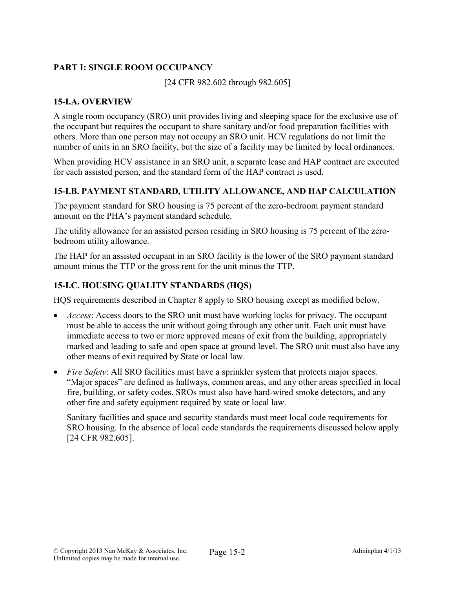## PART I: SINGLE ROOM OCCUPANCY

[24 CFR 982.602 through 982.605]

### 15-I.A. OVERVIEW

A single room occupancy (SRO) unit provides living and sleeping space for the exclusive use of the occupant but requires the occupant to share sanitary and/or food preparation facilities with others. More than one person may not occupy an SRO unit. HCV regulations do not limit the number of units in an SRO facility, but the size of a facility may be limited by local ordinances.

When providing HCV assistance in an SRO unit, a separate lease and HAP contract are executed for each assisted person, and the standard form of the HAP contract is used.

## 15-I.B. PAYMENT STANDARD, UTILITY ALLOWANCE, AND HAP CALCULATION

The payment standard for SRO housing is 75 percent of the zero-bedroom payment standard amount on the PHA's payment standard schedule.

The utility allowance for an assisted person residing in SRO housing is 75 percent of the zerobedroom utility allowance.

The HAP for an assisted occupant in an SRO facility is the lower of the SRO payment standard amount minus the TTP or the gross rent for the unit minus the TTP.

### 15-I.C. HOUSING QUALITY STANDARDS (HQS)

HQS requirements described in Chapter 8 apply to SRO housing except as modified below.

- *Access*: Access doors to the SRO unit must have working locks for privacy. The occupant must be able to access the unit without going through any other unit. Each unit must have immediate access to two or more approved means of exit from the building, appropriately marked and leading to safe and open space at ground level. The SRO unit must also have any other means of exit required by State or local law.
- *Fire Safety*: All SRO facilities must have a sprinkler system that protects major spaces. "Major spaces" are defined as hallways, common areas, and any other areas specified in local fire, building, or safety codes. SROs must also have hard-wired smoke detectors, and any other fire and safety equipment required by state or local law.

Sanitary facilities and space and security standards must meet local code requirements for SRO housing. In the absence of local code standards the requirements discussed below apply [24 CFR 982.605].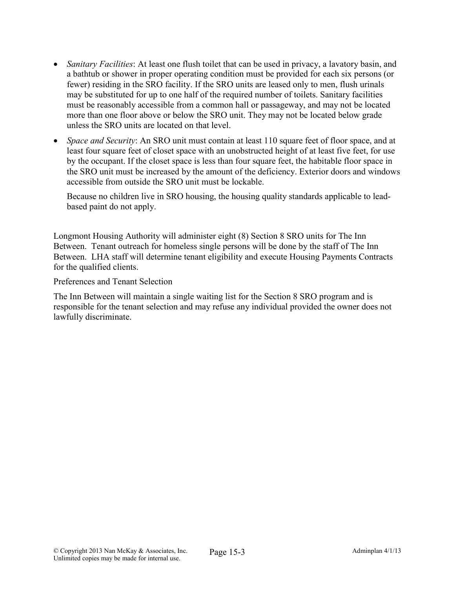- *Sanitary Facilities*: At least one flush toilet that can be used in privacy, a lavatory basin, and a bathtub or shower in proper operating condition must be provided for each six persons (or fewer) residing in the SRO facility. If the SRO units are leased only to men, flush urinals may be substituted for up to one half of the required number of toilets. Sanitary facilities must be reasonably accessible from a common hall or passageway, and may not be located more than one floor above or below the SRO unit. They may not be located below grade unless the SRO units are located on that level.
- *Space and Security*: An SRO unit must contain at least 110 square feet of floor space, and at least four square feet of closet space with an unobstructed height of at least five feet, for use by the occupant. If the closet space is less than four square feet, the habitable floor space in the SRO unit must be increased by the amount of the deficiency. Exterior doors and windows accessible from outside the SRO unit must be lockable.

Because no children live in SRO housing, the housing quality standards applicable to leadbased paint do not apply.

Longmont Housing Authority will administer eight (8) Section 8 SRO units for The Inn Between. Tenant outreach for homeless single persons will be done by the staff of The Inn Between. LHA staff will determine tenant eligibility and execute Housing Payments Contracts for the qualified clients.

Preferences and Tenant Selection

The Inn Between will maintain a single waiting list for the Section 8 SRO program and is responsible for the tenant selection and may refuse any individual provided the owner does not lawfully discriminate.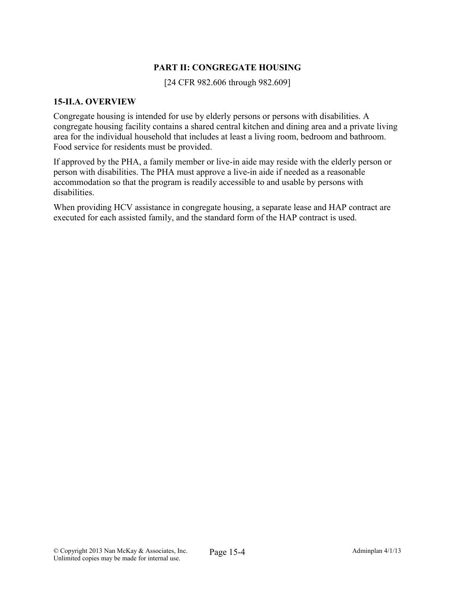### PART II: CONGREGATE HOUSING

[24 CFR 982.606 through 982.609]

#### 15-II.A. OVERVIEW

Congregate housing is intended for use by elderly persons or persons with disabilities. A congregate housing facility contains a shared central kitchen and dining area and a private living area for the individual household that includes at least a living room, bedroom and bathroom. Food service for residents must be provided.

If approved by the PHA, a family member or live-in aide may reside with the elderly person or person with disabilities. The PHA must approve a live-in aide if needed as a reasonable accommodation so that the program is readily accessible to and usable by persons with disabilities.

When providing HCV assistance in congregate housing, a separate lease and HAP contract are executed for each assisted family, and the standard form of the HAP contract is used.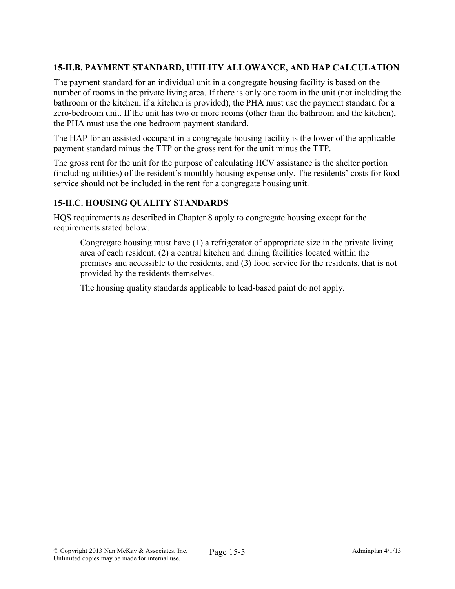## 15-II.B. PAYMENT STANDARD, UTILITY ALLOWANCE, AND HAP CALCULATION

The payment standard for an individual unit in a congregate housing facility is based on the number of rooms in the private living area. If there is only one room in the unit (not including the bathroom or the kitchen, if a kitchen is provided), the PHA must use the payment standard for a zero-bedroom unit. If the unit has two or more rooms (other than the bathroom and the kitchen), the PHA must use the one-bedroom payment standard.

The HAP for an assisted occupant in a congregate housing facility is the lower of the applicable payment standard minus the TTP or the gross rent for the unit minus the TTP.

The gross rent for the unit for the purpose of calculating HCV assistance is the shelter portion (including utilities) of the resident's monthly housing expense only. The residents' costs for food service should not be included in the rent for a congregate housing unit.

### 15-II.C. HOUSING QUALITY STANDARDS

HQS requirements as described in Chapter 8 apply to congregate housing except for the requirements stated below.

Congregate housing must have (1) a refrigerator of appropriate size in the private living area of each resident; (2) a central kitchen and dining facilities located within the premises and accessible to the residents, and (3) food service for the residents, that is not provided by the residents themselves.

The housing quality standards applicable to lead-based paint do not apply.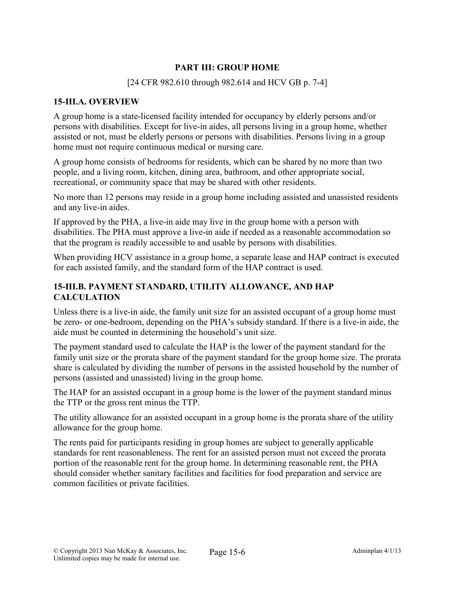### PART III: GROUP HOME

### [24 CFR 982.610 through 982.614 and HCV GB p. 7-4]

### 15-III.A. OVERVIEW

A group home is a state-licensed facility intended for occupancy by elderly persons and/or persons with disabilities. Except for live-in aides, all persons living in a group home, whether assisted or not, must be elderly persons or persons with disabilities. Persons living in a group home must not require continuous medical or nursing care.

A group home consists of bedrooms for residents, which can be shared by no more than two people, and a living room, kitchen, dining area, bathroom, and other appropriate social, recreational, or community space that may be shared with other residents.

No more than 12 persons may reside in a group home including assisted and unassisted residents and any live-in aides.

If approved by the PHA, a live-in aide may live in the group home with a person with disabilities. The PHA must approve a live-in aide if needed as a reasonable accommodation so that the program is readily accessible to and usable by persons with disabilities.

When providing HCV assistance in a group home, a separate lease and HAP contract is executed for each assisted family, and the standard form of the HAP contract is used.

### 15-III.B. PAYMENT STANDARD, UTILITY ALLOWANCE, AND HAP CALCULATION

Unless there is a live-in aide, the family unit size for an assisted occupant of a group home must be zero- or one-bedroom, depending on the PHA's subsidy standard. If there is a live-in aide, the aide must be counted in determining the household's unit size.

The payment standard used to calculate the HAP is the lower of the payment standard for the family unit size or the prorata share of the payment standard for the group home size. The prorata share is calculated by dividing the number of persons in the assisted household by the number of persons (assisted and unassisted) living in the group home.

The HAP for an assisted occupant in a group home is the lower of the payment standard minus the TTP or the gross rent minus the TTP.

The utility allowance for an assisted occupant in a group home is the prorata share of the utility allowance for the group home.

The rents paid for participants residing in group homes are subject to generally applicable standards for rent reasonableness. The rent for an assisted person must not exceed the prorata portion of the reasonable rent for the group home. In determining reasonable rent, the PHA should consider whether sanitary facilities and facilities for food preparation and service are common facilities or private facilities.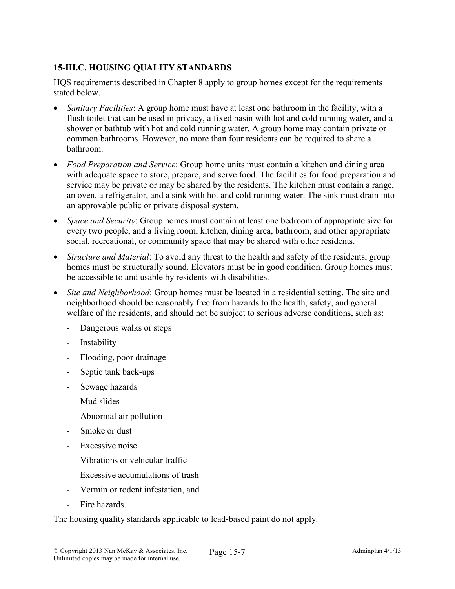## 15-III.C. HOUSING QUALITY STANDARDS

HQS requirements described in Chapter 8 apply to group homes except for the requirements stated below.

- *Sanitary Facilities*: A group home must have at least one bathroom in the facility, with a flush toilet that can be used in privacy, a fixed basin with hot and cold running water, and a shower or bathtub with hot and cold running water. A group home may contain private or common bathrooms. However, no more than four residents can be required to share a bathroom.
- *Food Preparation and Service*: Group home units must contain a kitchen and dining area with adequate space to store, prepare, and serve food. The facilities for food preparation and service may be private or may be shared by the residents. The kitchen must contain a range, an oven, a refrigerator, and a sink with hot and cold running water. The sink must drain into an approvable public or private disposal system.
- *Space and Security*: Group homes must contain at least one bedroom of appropriate size for every two people, and a living room, kitchen, dining area, bathroom, and other appropriate social, recreational, or community space that may be shared with other residents.
- *Structure and Material*: To avoid any threat to the health and safety of the residents, group homes must be structurally sound. Elevators must be in good condition. Group homes must be accessible to and usable by residents with disabilities.
- *Site and Neighborhood*: Group homes must be located in a residential setting. The site and neighborhood should be reasonably free from hazards to the health, safety, and general welfare of the residents, and should not be subject to serious adverse conditions, such as:
	- Dangerous walks or steps
	- Instability
	- Flooding, poor drainage
	- Septic tank back-ups
	- Sewage hazards
	- Mud slides
	- Abnormal air pollution
	- Smoke or dust
	- Excessive noise
	- Vibrations or vehicular traffic
	- Excessive accumulations of trash
	- Vermin or rodent infestation, and
	- Fire hazards.

The housing quality standards applicable to lead-based paint do not apply.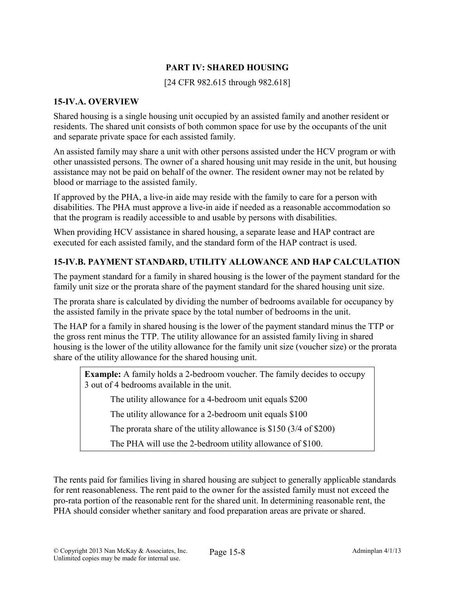## PART IV: SHARED HOUSING

[24 CFR 982.615 through 982.618]

#### 15-IV.A. OVERVIEW

Shared housing is a single housing unit occupied by an assisted family and another resident or residents. The shared unit consists of both common space for use by the occupants of the unit and separate private space for each assisted family.

An assisted family may share a unit with other persons assisted under the HCV program or with other unassisted persons. The owner of a shared housing unit may reside in the unit, but housing assistance may not be paid on behalf of the owner. The resident owner may not be related by blood or marriage to the assisted family.

If approved by the PHA, a live-in aide may reside with the family to care for a person with disabilities. The PHA must approve a live-in aide if needed as a reasonable accommodation so that the program is readily accessible to and usable by persons with disabilities.

When providing HCV assistance in shared housing, a separate lease and HAP contract are executed for each assisted family, and the standard form of the HAP contract is used.

#### 15-IV.B. PAYMENT STANDARD, UTILITY ALLOWANCE AND HAP CALCULATION

The payment standard for a family in shared housing is the lower of the payment standard for the family unit size or the prorata share of the payment standard for the shared housing unit size.

The prorata share is calculated by dividing the number of bedrooms available for occupancy by the assisted family in the private space by the total number of bedrooms in the unit.

The HAP for a family in shared housing is the lower of the payment standard minus the TTP or the gross rent minus the TTP. The utility allowance for an assisted family living in shared housing is the lower of the utility allowance for the family unit size (voucher size) or the prorata share of the utility allowance for the shared housing unit.

Example: A family holds a 2-bedroom voucher. The family decides to occupy 3 out of 4 bedrooms available in the unit.

The utility allowance for a 4-bedroom unit equals \$200

The utility allowance for a 2-bedroom unit equals \$100

The prorata share of the utility allowance is \$150 (3/4 of \$200)

The PHA will use the 2-bedroom utility allowance of \$100.

The rents paid for families living in shared housing are subject to generally applicable standards for rent reasonableness. The rent paid to the owner for the assisted family must not exceed the pro-rata portion of the reasonable rent for the shared unit. In determining reasonable rent, the PHA should consider whether sanitary and food preparation areas are private or shared.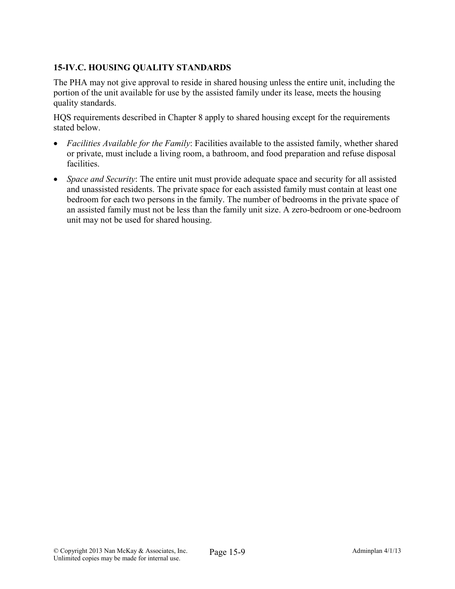## 15-IV.C. HOUSING QUALITY STANDARDS

The PHA may not give approval to reside in shared housing unless the entire unit, including the portion of the unit available for use by the assisted family under its lease, meets the housing quality standards.

HQS requirements described in Chapter 8 apply to shared housing except for the requirements stated below.

- *Facilities Available for the Family*: Facilities available to the assisted family, whether shared or private, must include a living room, a bathroom, and food preparation and refuse disposal facilities.
- *Space and Security*: The entire unit must provide adequate space and security for all assisted and unassisted residents. The private space for each assisted family must contain at least one bedroom for each two persons in the family. The number of bedrooms in the private space of an assisted family must not be less than the family unit size. A zero-bedroom or one-bedroom unit may not be used for shared housing.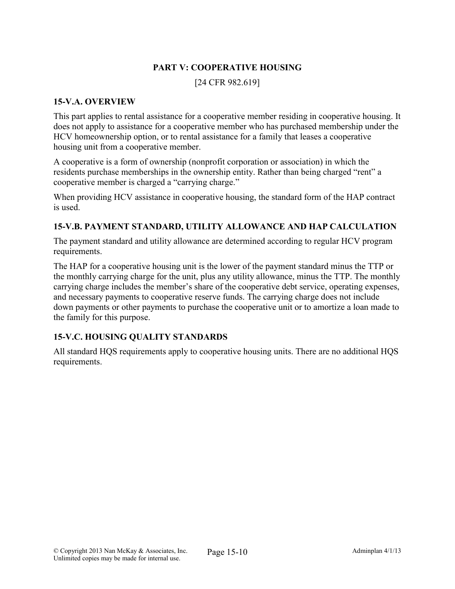### PART V: COOPERATIVE HOUSING

[24 CFR 982.619]

#### 15-V.A. OVERVIEW

This part applies to rental assistance for a cooperative member residing in cooperative housing. It does not apply to assistance for a cooperative member who has purchased membership under the HCV homeownership option, or to rental assistance for a family that leases a cooperative housing unit from a cooperative member.

A cooperative is a form of ownership (nonprofit corporation or association) in which the residents purchase memberships in the ownership entity. Rather than being charged "rent" a cooperative member is charged a "carrying charge."

When providing HCV assistance in cooperative housing, the standard form of the HAP contract is used.

### 15-V.B. PAYMENT STANDARD, UTILITY ALLOWANCE AND HAP CALCULATION

The payment standard and utility allowance are determined according to regular HCV program requirements.

The HAP for a cooperative housing unit is the lower of the payment standard minus the TTP or the monthly carrying charge for the unit, plus any utility allowance, minus the TTP. The monthly carrying charge includes the member's share of the cooperative debt service, operating expenses, and necessary payments to cooperative reserve funds. The carrying charge does not include down payments or other payments to purchase the cooperative unit or to amortize a loan made to the family for this purpose.

### 15-V.C. HOUSING QUALITY STANDARDS

All standard HQS requirements apply to cooperative housing units. There are no additional HQS requirements.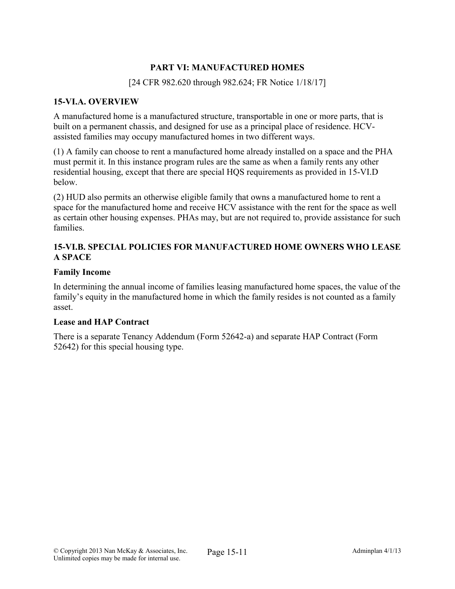### PART VI: MANUFACTURED HOMES

### [24 CFR 982.620 through 982.624; FR Notice 1/18/17]

### 15-VI.A. OVERVIEW

A manufactured home is a manufactured structure, transportable in one or more parts, that is built on a permanent chassis, and designed for use as a principal place of residence. HCVassisted families may occupy manufactured homes in two different ways.

(1) A family can choose to rent a manufactured home already installed on a space and the PHA must permit it. In this instance program rules are the same as when a family rents any other residential housing, except that there are special HQS requirements as provided in 15-VI.D below.

(2) HUD also permits an otherwise eligible family that owns a manufactured home to rent a space for the manufactured home and receive HCV assistance with the rent for the space as well as certain other housing expenses. PHAs may, but are not required to, provide assistance for such families.

### 15-VI.B. SPECIAL POLICIES FOR MANUFACTURED HOME OWNERS WHO LEASE A SPACE

#### Family Income

In determining the annual income of families leasing manufactured home spaces, the value of the family's equity in the manufactured home in which the family resides is not counted as a family asset.

#### Lease and HAP Contract

There is a separate Tenancy Addendum (Form 52642-a) and separate HAP Contract (Form 52642) for this special housing type.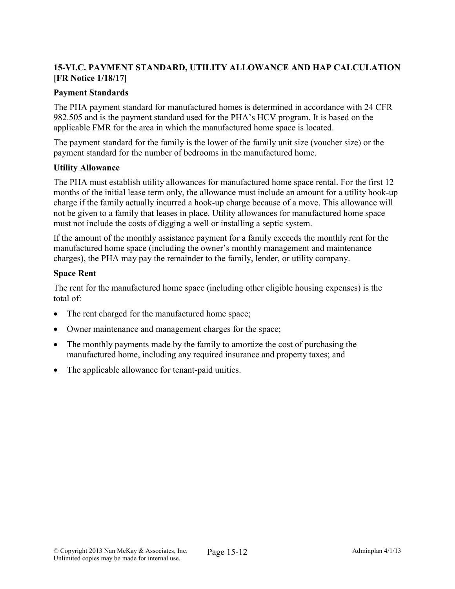## 15-VI.C. PAYMENT STANDARD, UTILITY ALLOWANCE AND HAP CALCULATION [FR Notice 1/18/17]

### Payment Standards

The PHA payment standard for manufactured homes is determined in accordance with 24 CFR 982.505 and is the payment standard used for the PHA's HCV program. It is based on the applicable FMR for the area in which the manufactured home space is located.

The payment standard for the family is the lower of the family unit size (voucher size) or the payment standard for the number of bedrooms in the manufactured home.

#### Utility Allowance

The PHA must establish utility allowances for manufactured home space rental. For the first 12 months of the initial lease term only, the allowance must include an amount for a utility hook-up charge if the family actually incurred a hook-up charge because of a move. This allowance will not be given to a family that leases in place. Utility allowances for manufactured home space must not include the costs of digging a well or installing a septic system.

If the amount of the monthly assistance payment for a family exceeds the monthly rent for the manufactured home space (including the owner's monthly management and maintenance charges), the PHA may pay the remainder to the family, lender, or utility company.

#### Space Rent

The rent for the manufactured home space (including other eligible housing expenses) is the total of:

- The rent charged for the manufactured home space;
- Owner maintenance and management charges for the space;
- The monthly payments made by the family to amortize the cost of purchasing the manufactured home, including any required insurance and property taxes; and
- The applicable allowance for tenant-paid unities.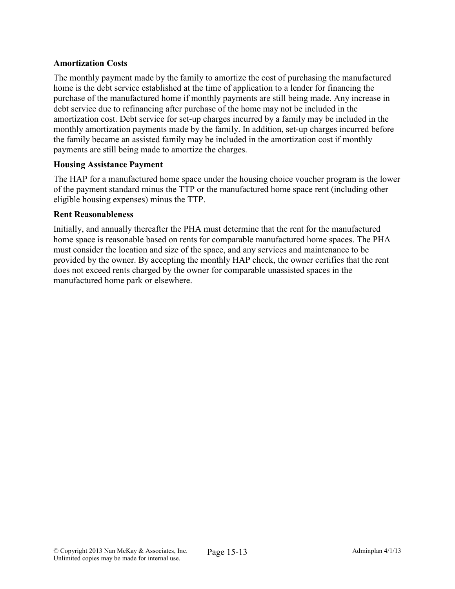### Amortization Costs

The monthly payment made by the family to amortize the cost of purchasing the manufactured home is the debt service established at the time of application to a lender for financing the purchase of the manufactured home if monthly payments are still being made. Any increase in debt service due to refinancing after purchase of the home may not be included in the amortization cost. Debt service for set-up charges incurred by a family may be included in the monthly amortization payments made by the family. In addition, set-up charges incurred before the family became an assisted family may be included in the amortization cost if monthly payments are still being made to amortize the charges.

#### Housing Assistance Payment

The HAP for a manufactured home space under the housing choice voucher program is the lower of the payment standard minus the TTP or the manufactured home space rent (including other eligible housing expenses) minus the TTP.

#### Rent Reasonableness

Initially, and annually thereafter the PHA must determine that the rent for the manufactured home space is reasonable based on rents for comparable manufactured home spaces. The PHA must consider the location and size of the space, and any services and maintenance to be provided by the owner. By accepting the monthly HAP check, the owner certifies that the rent does not exceed rents charged by the owner for comparable unassisted spaces in the manufactured home park or elsewhere.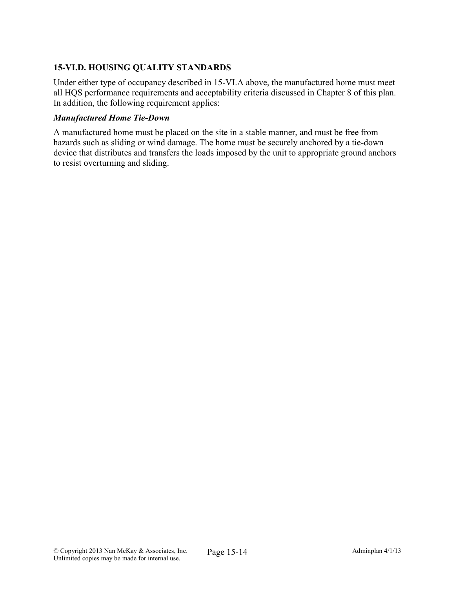## 15-VI.D. HOUSING QUALITY STANDARDS

Under either type of occupancy described in 15-VI.A above, the manufactured home must meet all HQS performance requirements and acceptability criteria discussed in Chapter 8 of this plan. In addition, the following requirement applies:

### *Manufactured Home Tie-Down*

A manufactured home must be placed on the site in a stable manner, and must be free from hazards such as sliding or wind damage. The home must be securely anchored by a tie-down device that distributes and transfers the loads imposed by the unit to appropriate ground anchors to resist overturning and sliding.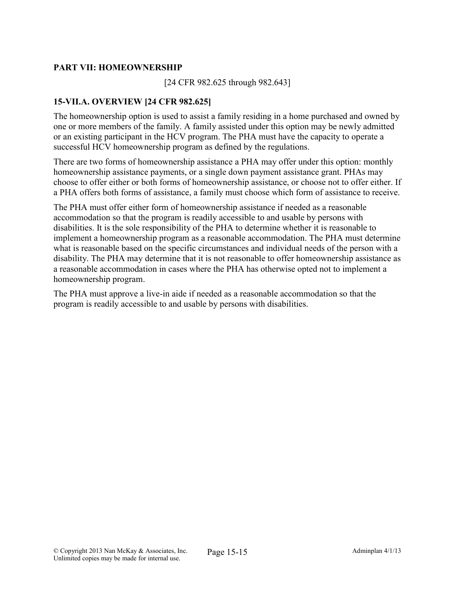### PART VII: HOMEOWNERSHIP

[24 CFR 982.625 through 982.643]

### 15-VII.A. OVERVIEW [24 CFR 982.625]

The homeownership option is used to assist a family residing in a home purchased and owned by one or more members of the family. A family assisted under this option may be newly admitted or an existing participant in the HCV program. The PHA must have the capacity to operate a successful HCV homeownership program as defined by the regulations.

There are two forms of homeownership assistance a PHA may offer under this option: monthly homeownership assistance payments, or a single down payment assistance grant. PHAs may choose to offer either or both forms of homeownership assistance, or choose not to offer either. If a PHA offers both forms of assistance, a family must choose which form of assistance to receive.

The PHA must offer either form of homeownership assistance if needed as a reasonable accommodation so that the program is readily accessible to and usable by persons with disabilities. It is the sole responsibility of the PHA to determine whether it is reasonable to implement a homeownership program as a reasonable accommodation. The PHA must determine what is reasonable based on the specific circumstances and individual needs of the person with a disability. The PHA may determine that it is not reasonable to offer homeownership assistance as a reasonable accommodation in cases where the PHA has otherwise opted not to implement a homeownership program.

The PHA must approve a live-in aide if needed as a reasonable accommodation so that the program is readily accessible to and usable by persons with disabilities.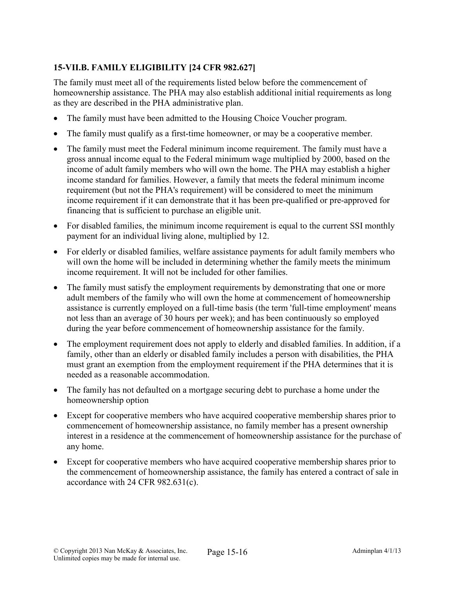# 15-VII.B. FAMILY ELIGIBILITY [24 CFR 982.627]

The family must meet all of the requirements listed below before the commencement of homeownership assistance. The PHA may also establish additional initial requirements as long as they are described in the PHA administrative plan.

- The family must have been admitted to the Housing Choice Voucher program.
- The family must qualify as a first-time homeowner, or may be a cooperative member.
- The family must meet the Federal minimum income requirement. The family must have a gross annual income equal to the Federal minimum wage multiplied by 2000, based on the income of adult family members who will own the home. The PHA may establish a higher income standard for families. However, a family that meets the federal minimum income requirement (but not the PHA's requirement) will be considered to meet the minimum income requirement if it can demonstrate that it has been pre-qualified or pre-approved for financing that is sufficient to purchase an eligible unit.
- For disabled families, the minimum income requirement is equal to the current SSI monthly payment for an individual living alone, multiplied by 12.
- For elderly or disabled families, welfare assistance payments for adult family members who will own the home will be included in determining whether the family meets the minimum income requirement. It will not be included for other families.
- The family must satisfy the employment requirements by demonstrating that one or more adult members of the family who will own the home at commencement of homeownership assistance is currently employed on a full-time basis (the term 'full-time employment' means not less than an average of 30 hours per week); and has been continuously so employed during the year before commencement of homeownership assistance for the family.
- The employment requirement does not apply to elderly and disabled families. In addition, if a family, other than an elderly or disabled family includes a person with disabilities, the PHA must grant an exemption from the employment requirement if the PHA determines that it is needed as a reasonable accommodation.
- The family has not defaulted on a mortgage securing debt to purchase a home under the homeownership option
- Except for cooperative members who have acquired cooperative membership shares prior to commencement of homeownership assistance, no family member has a present ownership interest in a residence at the commencement of homeownership assistance for the purchase of any home.
- Except for cooperative members who have acquired cooperative membership shares prior to the commencement of homeownership assistance, the family has entered a contract of sale in accordance with 24 CFR 982.631(c).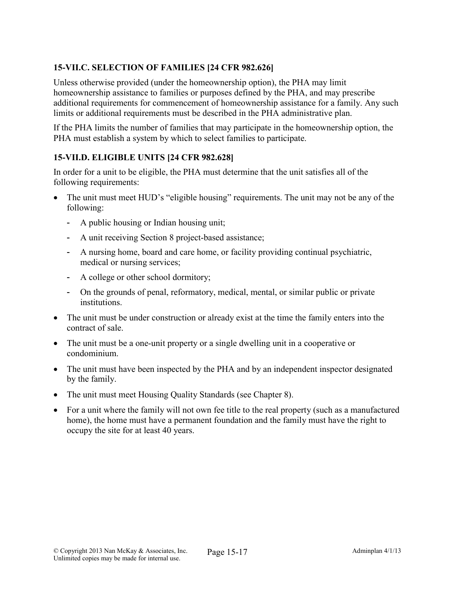# 15-VII.C. SELECTION OF FAMILIES [24 CFR 982.626]

Unless otherwise provided (under the homeownership option), the PHA may limit homeownership assistance to families or purposes defined by the PHA, and may prescribe additional requirements for commencement of homeownership assistance for a family. Any such limits or additional requirements must be described in the PHA administrative plan.

If the PHA limits the number of families that may participate in the homeownership option, the PHA must establish a system by which to select families to participate.

## 15-VII.D. ELIGIBLE UNITS [24 CFR 982.628]

In order for a unit to be eligible, the PHA must determine that the unit satisfies all of the following requirements:

- The unit must meet HUD's "eligible housing" requirements. The unit may not be any of the following:
	- A public housing or Indian housing unit;
	- A unit receiving Section 8 project-based assistance;
	- A nursing home, board and care home, or facility providing continual psychiatric, medical or nursing services;
	- A college or other school dormitory;
	- On the grounds of penal, reformatory, medical, mental, or similar public or private institutions.
- The unit must be under construction or already exist at the time the family enters into the contract of sale.
- The unit must be a one-unit property or a single dwelling unit in a cooperative or condominium.
- The unit must have been inspected by the PHA and by an independent inspector designated by the family.
- The unit must meet Housing Quality Standards (see Chapter 8).
- For a unit where the family will not own fee title to the real property (such as a manufactured home), the home must have a permanent foundation and the family must have the right to occupy the site for at least 40 years.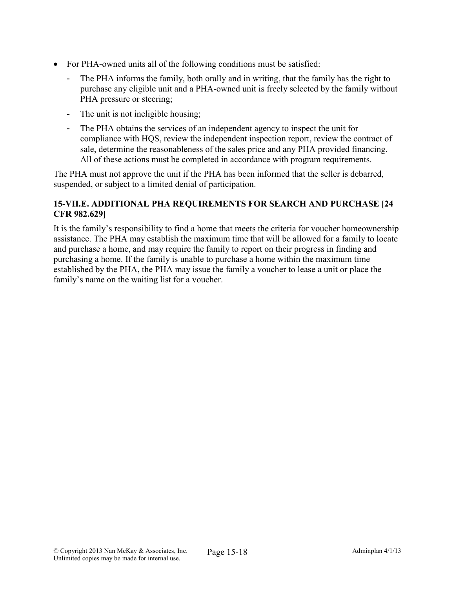- For PHA-owned units all of the following conditions must be satisfied:
	- The PHA informs the family, both orally and in writing, that the family has the right to purchase any eligible unit and a PHA-owned unit is freely selected by the family without PHA pressure or steering;
	- The unit is not ineligible housing;
	- The PHA obtains the services of an independent agency to inspect the unit for compliance with HQS, review the independent inspection report, review the contract of sale, determine the reasonableness of the sales price and any PHA provided financing. All of these actions must be completed in accordance with program requirements.

The PHA must not approve the unit if the PHA has been informed that the seller is debarred, suspended, or subject to a limited denial of participation.

### 15-VII.E. ADDITIONAL PHA REQUIREMENTS FOR SEARCH AND PURCHASE [24 CFR 982.629]

It is the family's responsibility to find a home that meets the criteria for voucher homeownership assistance. The PHA may establish the maximum time that will be allowed for a family to locate and purchase a home, and may require the family to report on their progress in finding and purchasing a home. If the family is unable to purchase a home within the maximum time established by the PHA, the PHA may issue the family a voucher to lease a unit or place the family's name on the waiting list for a voucher.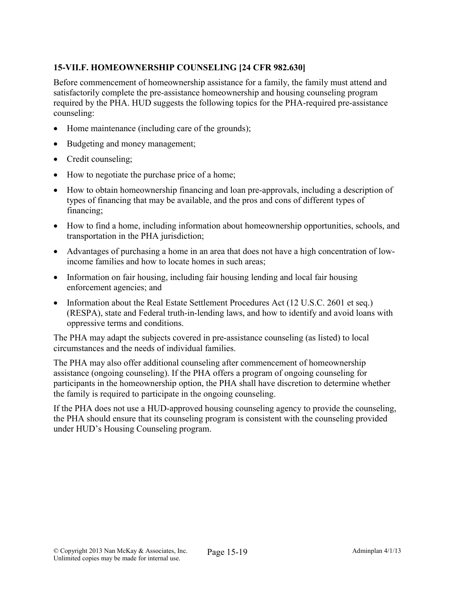# 15-VII.F. HOMEOWNERSHIP COUNSELING [24 CFR 982.630]

Before commencement of homeownership assistance for a family, the family must attend and satisfactorily complete the pre-assistance homeownership and housing counseling program required by the PHA. HUD suggests the following topics for the PHA-required pre-assistance counseling:

- Home maintenance (including care of the grounds);
- Budgeting and money management;
- Credit counseling;
- How to negotiate the purchase price of a home;
- How to obtain homeownership financing and loan pre-approvals, including a description of types of financing that may be available, and the pros and cons of different types of financing;
- How to find a home, including information about homeownership opportunities, schools, and transportation in the PHA jurisdiction;
- Advantages of purchasing a home in an area that does not have a high concentration of lowincome families and how to locate homes in such areas;
- Information on fair housing, including fair housing lending and local fair housing enforcement agencies; and
- Information about the Real Estate Settlement Procedures Act (12 U.S.C. 2601 et seq.) (RESPA), state and Federal truth-in-lending laws, and how to identify and avoid loans with oppressive terms and conditions.

The PHA may adapt the subjects covered in pre-assistance counseling (as listed) to local circumstances and the needs of individual families.

The PHA may also offer additional counseling after commencement of homeownership assistance (ongoing counseling). If the PHA offers a program of ongoing counseling for participants in the homeownership option, the PHA shall have discretion to determine whether the family is required to participate in the ongoing counseling.

If the PHA does not use a HUD-approved housing counseling agency to provide the counseling, the PHA should ensure that its counseling program is consistent with the counseling provided under HUD's Housing Counseling program.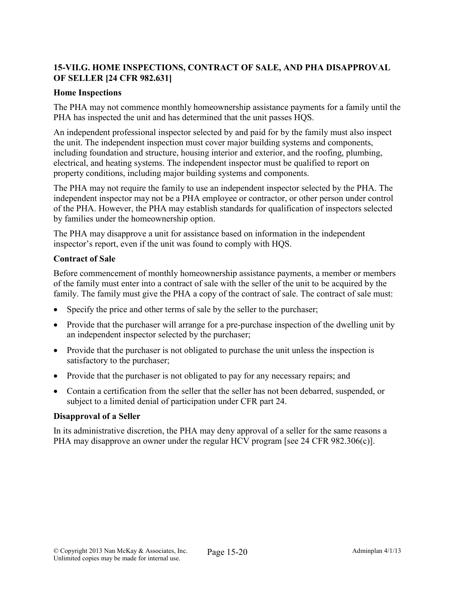### 15-VII.G. HOME INSPECTIONS, CONTRACT OF SALE, AND PHA DISAPPROVAL OF SELLER [24 CFR 982.631]

#### Home Inspections

The PHA may not commence monthly homeownership assistance payments for a family until the PHA has inspected the unit and has determined that the unit passes HQS.

An independent professional inspector selected by and paid for by the family must also inspect the unit. The independent inspection must cover major building systems and components, including foundation and structure, housing interior and exterior, and the roofing, plumbing, electrical, and heating systems. The independent inspector must be qualified to report on property conditions, including major building systems and components.

The PHA may not require the family to use an independent inspector selected by the PHA. The independent inspector may not be a PHA employee or contractor, or other person under control of the PHA. However, the PHA may establish standards for qualification of inspectors selected by families under the homeownership option.

The PHA may disapprove a unit for assistance based on information in the independent inspector's report, even if the unit was found to comply with HQS.

#### Contract of Sale

Before commencement of monthly homeownership assistance payments, a member or members of the family must enter into a contract of sale with the seller of the unit to be acquired by the family. The family must give the PHA a copy of the contract of sale. The contract of sale must:

- Specify the price and other terms of sale by the seller to the purchaser;
- Provide that the purchaser will arrange for a pre-purchase inspection of the dwelling unit by an independent inspector selected by the purchaser;
- Provide that the purchaser is not obligated to purchase the unit unless the inspection is satisfactory to the purchaser;
- Provide that the purchaser is not obligated to pay for any necessary repairs; and
- Contain a certification from the seller that the seller has not been debarred, suspended, or subject to a limited denial of participation under CFR part 24.

### Disapproval of a Seller

In its administrative discretion, the PHA may deny approval of a seller for the same reasons a PHA may disapprove an owner under the regular HCV program [see 24 CFR 982.306(c)].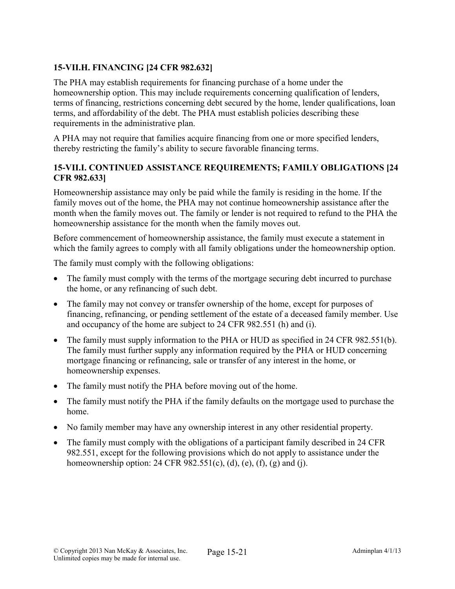## 15-VII.H. FINANCING [24 CFR 982.632]

The PHA may establish requirements for financing purchase of a home under the homeownership option. This may include requirements concerning qualification of lenders, terms of financing, restrictions concerning debt secured by the home, lender qualifications, loan terms, and affordability of the debt. The PHA must establish policies describing these requirements in the administrative plan.

A PHA may not require that families acquire financing from one or more specified lenders, thereby restricting the family's ability to secure favorable financing terms.

### 15-VII.I. CONTINUED ASSISTANCE REQUIREMENTS; FAMILY OBLIGATIONS [24 CFR 982.633]

Homeownership assistance may only be paid while the family is residing in the home. If the family moves out of the home, the PHA may not continue homeownership assistance after the month when the family moves out. The family or lender is not required to refund to the PHA the homeownership assistance for the month when the family moves out.

Before commencement of homeownership assistance, the family must execute a statement in which the family agrees to comply with all family obligations under the homeownership option.

The family must comply with the following obligations:

- The family must comply with the terms of the mortgage securing debt incurred to purchase the home, or any refinancing of such debt.
- The family may not convey or transfer ownership of the home, except for purposes of financing, refinancing, or pending settlement of the estate of a deceased family member. Use and occupancy of the home are subject to 24 CFR 982.551 (h) and (i).
- The family must supply information to the PHA or HUD as specified in 24 CFR 982.551(b). The family must further supply any information required by the PHA or HUD concerning mortgage financing or refinancing, sale or transfer of any interest in the home, or homeownership expenses.
- The family must notify the PHA before moving out of the home.
- The family must notify the PHA if the family defaults on the mortgage used to purchase the home.
- No family member may have any ownership interest in any other residential property.
- The family must comply with the obligations of a participant family described in 24 CFR 982.551, except for the following provisions which do not apply to assistance under the homeownership option: 24 CFR  $982.551(c)$ , (d), (e), (f), (g) and (j).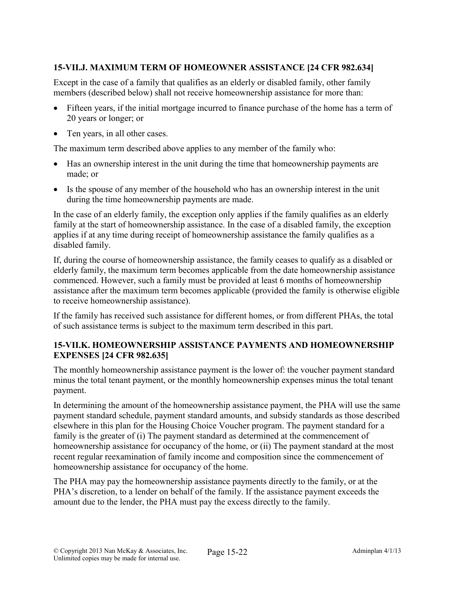## 15-VII.J. MAXIMUM TERM OF HOMEOWNER ASSISTANCE [24 CFR 982.634]

Except in the case of a family that qualifies as an elderly or disabled family, other family members (described below) shall not receive homeownership assistance for more than:

- Fifteen years, if the initial mortgage incurred to finance purchase of the home has a term of 20 years or longer; or
- Ten years, in all other cases.

The maximum term described above applies to any member of the family who:

- Has an ownership interest in the unit during the time that homeownership payments are made; or
- Is the spouse of any member of the household who has an ownership interest in the unit during the time homeownership payments are made.

In the case of an elderly family, the exception only applies if the family qualifies as an elderly family at the start of homeownership assistance. In the case of a disabled family, the exception applies if at any time during receipt of homeownership assistance the family qualifies as a disabled family.

If, during the course of homeownership assistance, the family ceases to qualify as a disabled or elderly family, the maximum term becomes applicable from the date homeownership assistance commenced. However, such a family must be provided at least 6 months of homeownership assistance after the maximum term becomes applicable (provided the family is otherwise eligible to receive homeownership assistance).

If the family has received such assistance for different homes, or from different PHAs, the total of such assistance terms is subject to the maximum term described in this part.

### 15-VII.K. HOMEOWNERSHIP ASSISTANCE PAYMENTS AND HOMEOWNERSHIP EXPENSES [24 CFR 982.635]

The monthly homeownership assistance payment is the lower of: the voucher payment standard minus the total tenant payment, or the monthly homeownership expenses minus the total tenant payment.

In determining the amount of the homeownership assistance payment, the PHA will use the same payment standard schedule, payment standard amounts, and subsidy standards as those described elsewhere in this plan for the Housing Choice Voucher program. The payment standard for a family is the greater of (i) The payment standard as determined at the commencement of homeownership assistance for occupancy of the home, or (ii) The payment standard at the most recent regular reexamination of family income and composition since the commencement of homeownership assistance for occupancy of the home.

The PHA may pay the homeownership assistance payments directly to the family, or at the PHA's discretion, to a lender on behalf of the family. If the assistance payment exceeds the amount due to the lender, the PHA must pay the excess directly to the family.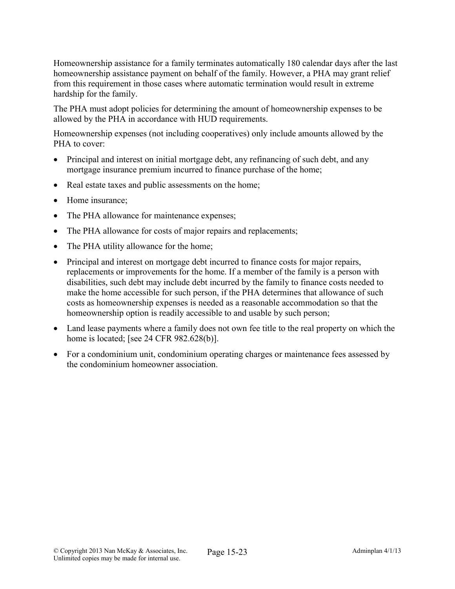Homeownership assistance for a family terminates automatically 180 calendar days after the last homeownership assistance payment on behalf of the family. However, a PHA may grant relief from this requirement in those cases where automatic termination would result in extreme hardship for the family.

The PHA must adopt policies for determining the amount of homeownership expenses to be allowed by the PHA in accordance with HUD requirements.

Homeownership expenses (not including cooperatives) only include amounts allowed by the PHA to cover:

- Principal and interest on initial mortgage debt, any refinancing of such debt, and any mortgage insurance premium incurred to finance purchase of the home;
- Real estate taxes and public assessments on the home;
- Home insurance;
- The PHA allowance for maintenance expenses;
- The PHA allowance for costs of major repairs and replacements;
- The PHA utility allowance for the home;
- Principal and interest on mortgage debt incurred to finance costs for major repairs, replacements or improvements for the home. If a member of the family is a person with disabilities, such debt may include debt incurred by the family to finance costs needed to make the home accessible for such person, if the PHA determines that allowance of such costs as homeownership expenses is needed as a reasonable accommodation so that the homeownership option is readily accessible to and usable by such person;
- Land lease payments where a family does not own fee title to the real property on which the home is located; [see 24 CFR 982.628(b)].
- For a condominium unit, condominium operating charges or maintenance fees assessed by the condominium homeowner association.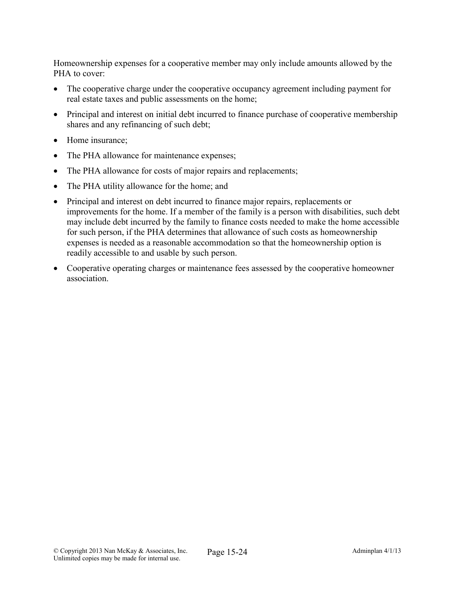Homeownership expenses for a cooperative member may only include amounts allowed by the PHA to cover:

- The cooperative charge under the cooperative occupancy agreement including payment for real estate taxes and public assessments on the home;
- Principal and interest on initial debt incurred to finance purchase of cooperative membership shares and any refinancing of such debt;
- Home insurance:
- The PHA allowance for maintenance expenses;
- The PHA allowance for costs of major repairs and replacements;
- The PHA utility allowance for the home; and
- Principal and interest on debt incurred to finance major repairs, replacements or improvements for the home. If a member of the family is a person with disabilities, such debt may include debt incurred by the family to finance costs needed to make the home accessible for such person, if the PHA determines that allowance of such costs as homeownership expenses is needed as a reasonable accommodation so that the homeownership option is readily accessible to and usable by such person.
- Cooperative operating charges or maintenance fees assessed by the cooperative homeowner association.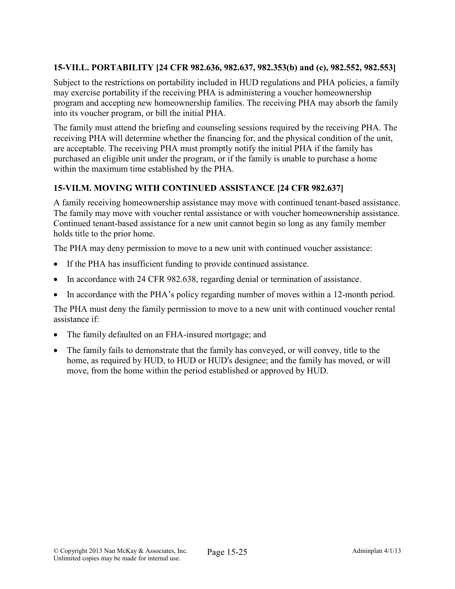## 15-VII.L. PORTABILITY [24 CFR 982.636, 982.637, 982.353(b) and (c), 982.552, 982.553]

Subject to the restrictions on portability included in HUD regulations and PHA policies, a family may exercise portability if the receiving PHA is administering a voucher homeownership program and accepting new homeownership families. The receiving PHA may absorb the family into its voucher program, or bill the initial PHA.

The family must attend the briefing and counseling sessions required by the receiving PHA. The receiving PHA will determine whether the financing for, and the physical condition of the unit, are acceptable. The receiving PHA must promptly notify the initial PHA if the family has purchased an eligible unit under the program, or if the family is unable to purchase a home within the maximum time established by the PHA.

## 15-VII.M. MOVING WITH CONTINUED ASSISTANCE [24 CFR 982.637]

A family receiving homeownership assistance may move with continued tenant-based assistance. The family may move with voucher rental assistance or with voucher homeownership assistance. Continued tenant-based assistance for a new unit cannot begin so long as any family member holds title to the prior home.

The PHA may deny permission to move to a new unit with continued voucher assistance:

- If the PHA has insufficient funding to provide continued assistance.
- In accordance with 24 CFR 982.638, regarding denial or termination of assistance.
- In accordance with the PHA's policy regarding number of moves within a 12-month period.

The PHA must deny the family permission to move to a new unit with continued voucher rental assistance if:

- The family defaulted on an FHA-insured mortgage; and
- The family fails to demonstrate that the family has conveyed, or will convey, title to the home, as required by HUD, to HUD or HUD's designee; and the family has moved, or will move, from the home within the period established or approved by HUD.